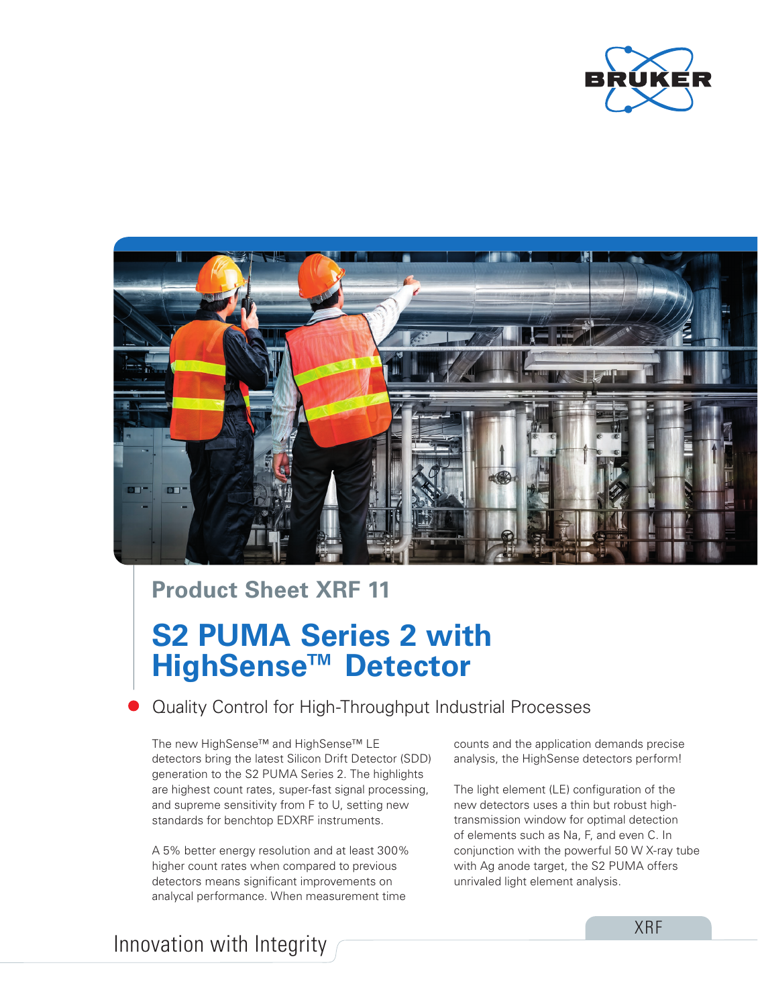



## **Product Sheet XRF 11**

## **S2 PUMA Series 2 with HighSense™ Detector**

Quality Control for High-Throughput Industrial Processes

The new HighSense™ and HighSense™ LE detectors bring the latest Silicon Drift Detector (SDD) generation to the S2 PUMA Series 2. The highlights are highest count rates, super-fast signal processing, and supreme sensitivity from F to U, setting new standards for benchtop EDXRF instruments.

A 5% better energy resolution and at least 300% higher count rates when compared to previous detectors means significant improvements on analycal performance. When measurement time

counts and the application demands precise analysis, the HighSense detectors perform!

The light element (LE) configuration of the new detectors uses a thin but robust hightransmission window for optimal detection of elements such as Na, F, and even C. In conjunction with the powerful 50 W X-ray tube with Ag anode target, the S2 PUMA offers unrivaled light element analysis.

Innovation with Integrity